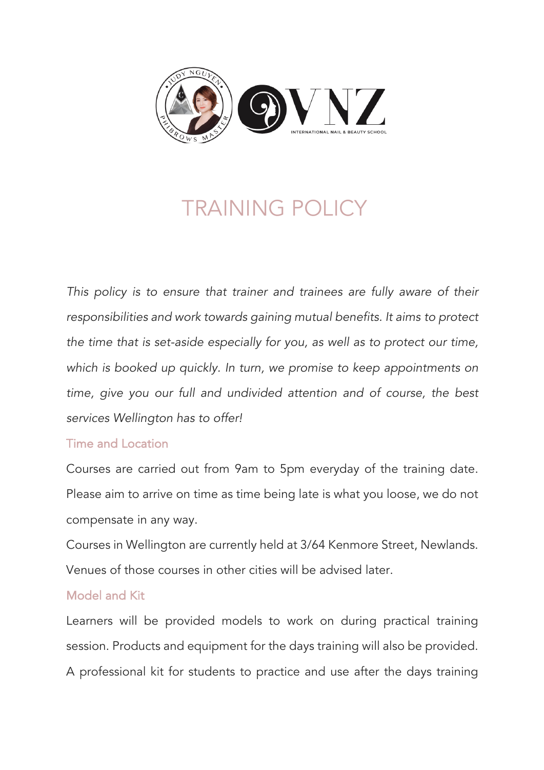

# TRAINING POLICY

*This policy is to ensure that trainer and trainees are fully aware of their responsibilities and work towards gaining mutual benefits. It aims to protect the time that is set-aside especially for you, as well as to protect our time, which is booked up quickly. In turn, we promise to keep appointments on time, give you our full and undivided attention and of course, the best services Wellington has to offer!*

## Time and Location

Courses are carried out from 9am to 5pm everyday of the training date. Please aim to arrive on time as time being late is what you loose, we do not compensate in any way.

Courses in Wellington are currently held at 3/64 Kenmore Street, Newlands. Venues of those courses in other cities will be advised later.

# Model and Kit

Learners will be provided models to work on during practical training session. Products and equipment for the days training will also be provided. A professional kit for students to practice and use after the days training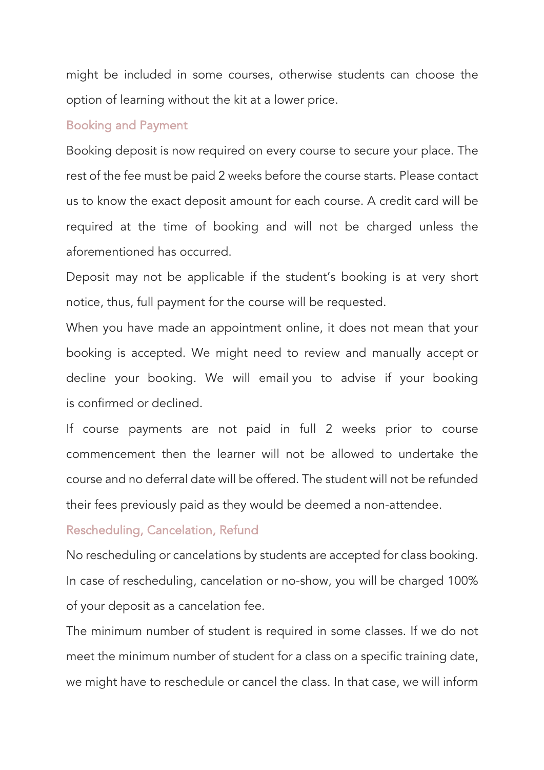might be included in some courses, otherwise students can choose the option of learning without the kit at a lower price.

#### Booking and Payment

Booking deposit is now required on every course to secure your place. The rest of the fee must be paid 2 weeks before the course starts. Please contact us to know the exact deposit amount for each course. A credit card will be required at the time of booking and will not be charged unless the aforementioned has occurred.

Deposit may not be applicable if the student's booking is at very short notice, thus, full payment for the course will be requested.

When you have made an appointment online, it does not mean that your booking is accepted. We might need to review and manually accept or decline your booking. We will email you to advise if your booking is confirmed or declined.

If course payments are not paid in full 2 weeks prior to course commencement then the learner will not be allowed to undertake the course and no deferral date will be offered. The student will not be refunded their fees previously paid as they would be deemed a non-attendee.

## Rescheduling, Cancelation, Refund

No rescheduling or cancelations by students are accepted for class booking. In case of rescheduling, cancelation or no-show, you will be charged 100% of your deposit as a cancelation fee.

The minimum number of student is required in some classes. If we do not meet the minimum number of student for a class on a specific training date, we might have to reschedule or cancel the class. In that case, we will inform